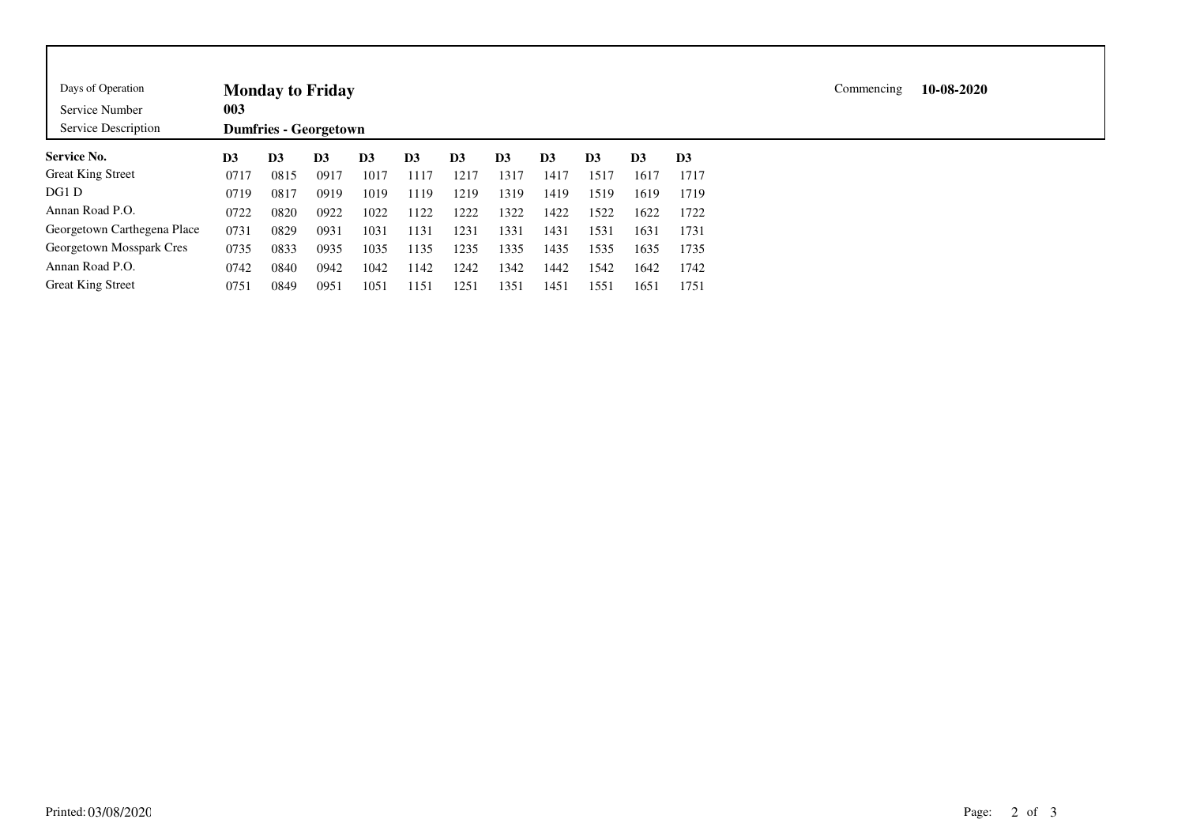| Days of Operation<br>Service Number<br>Service Description | <b>Monday to Friday</b><br>003<br><b>Dumfries - Georgetown</b> |                |      |                |                |                |                |                |                |                |                |  |  | 10-08-2020 |
|------------------------------------------------------------|----------------------------------------------------------------|----------------|------|----------------|----------------|----------------|----------------|----------------|----------------|----------------|----------------|--|--|------------|
| <b>Service No.</b>                                         | D3                                                             | D <sub>3</sub> | D3   | D <sub>3</sub> | D <sub>3</sub> | D <sub>3</sub> | D <sub>3</sub> | D <sub>3</sub> | D <sub>3</sub> | D <sub>3</sub> | D <sub>3</sub> |  |  |            |
| <b>Great King Street</b>                                   | 0717                                                           | 0815           | 0917 | 1017           | 1117           | 1217           | 1317           | 1417           | 1517           | 1617           | 1717           |  |  |            |
| DG1 D                                                      | 0719                                                           | 0817           | 0919 | 1019           | 1119           | 1219           | 1319           | 1419           | 1519           | 1619           | 1719           |  |  |            |
| Annan Road P.O.                                            | 0722                                                           | 0820           | 0922 | 1022           | 1122           | 1222           | 1322           | 1422           | 1522           | 1622           | 1722           |  |  |            |
| Georgetown Carthegena Place                                | 0731                                                           | 0829           | 0931 | 1031           | 1131           | 1231           | 1331           | 1431           | 1531           | 1631           | 1731           |  |  |            |
| Georgetown Mosspark Cres                                   | 0735                                                           | 0833           | 0935 | 1035           | 1135           | 1235           | 1335           | 1435           | 1535           | 1635           | 1735           |  |  |            |
| Annan Road P.O.                                            | 0742                                                           | 0840           | 0942 | 1042           | 1142           | 1242           | 1342           | 1442           | 1542           | 1642           | 1742           |  |  |            |
| <b>Great King Street</b>                                   | 0751                                                           | 0849           | 0951 | 1051           | 1151           | 1251           | 1351           | 1451           | 1551           | 1651           | 1751           |  |  |            |